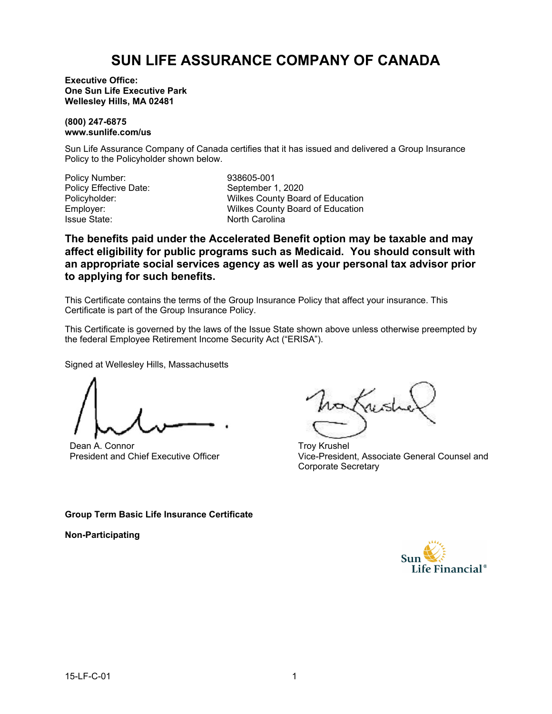# **SUN LIFE ASSURANCE COMPANY OF CANADA**

**Executive Office: One Sun Life Executive Park Wellesley Hills, MA 02481**

### **(800) 247-6875 www.sunlife.com/us**

Sun Life Assurance Company of Canada certifies that it has issued and delivered a Group Insurance Policy to the Policyholder shown below.

| Policy Number:               |
|------------------------------|
| <b>Policy Effective Date</b> |
| Policyholder:                |
| Employer:                    |
| <b>Issue State:</b>          |

Policy Number: 938605-001 e: September 1, 2020 Wilkes County Board of Education Wilkes County Board of Education North Carolina

**The benefits paid under the Accelerated Benefit option may be taxable and may affect eligibility for public programs such as Medicaid. You should consult with an appropriate social services agency as well as your personal tax advisor prior to applying for such benefits.**

This Certificate contains the terms of the Group Insurance Policy that affect your insurance. This Certificate is part of the Group Insurance Policy.

This Certificate is governed by the laws of the Issue State shown above unless otherwise preempted by the federal Employee Retirement Income Security Act ("ERISA").

Signed at Wellesley Hills, Massachusetts

Dean A. Connor President and Chief Executive Officer

Troy Krushel Vice-President, Associate General Counsel and Corporate Secretary

### **Group Term Basic Life Insurance Certificate**

**Non-Participating**

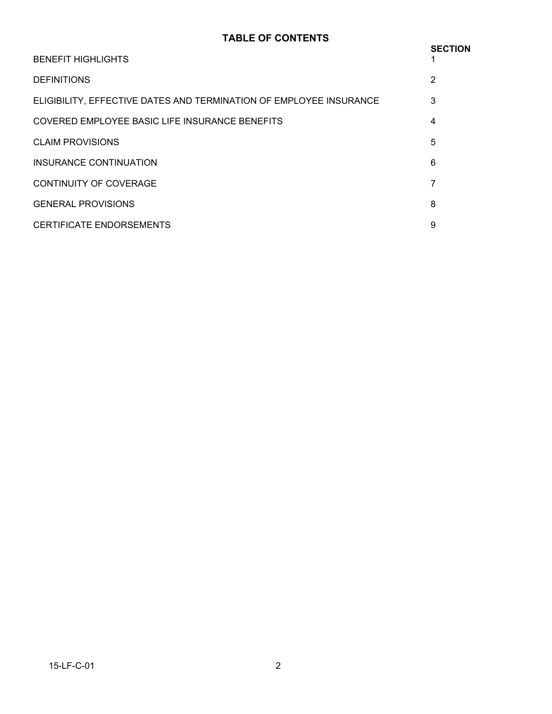## **TABLE OF CONTENTS**

| <b>BENEFIT HIGHLIGHTS</b>                                          | <b>SECTION</b> |
|--------------------------------------------------------------------|----------------|
| <b>DEFINITIONS</b>                                                 | 2              |
| ELIGIBILITY, EFFECTIVE DATES AND TERMINATION OF EMPLOYEE INSURANCE | 3              |
| COVERED EMPLOYEE BASIC LIFE INSURANCE BENEFITS                     | 4              |
| <b>CLAIM PROVISIONS</b>                                            | 5              |
| INSURANCE CONTINUATION                                             | 6              |
| <b>CONTINUITY OF COVERAGE</b>                                      | 7              |
| <b>GENERAL PROVISIONS</b>                                          | 8              |
| CERTIFICATE ENDORSEMENTS                                           | 9              |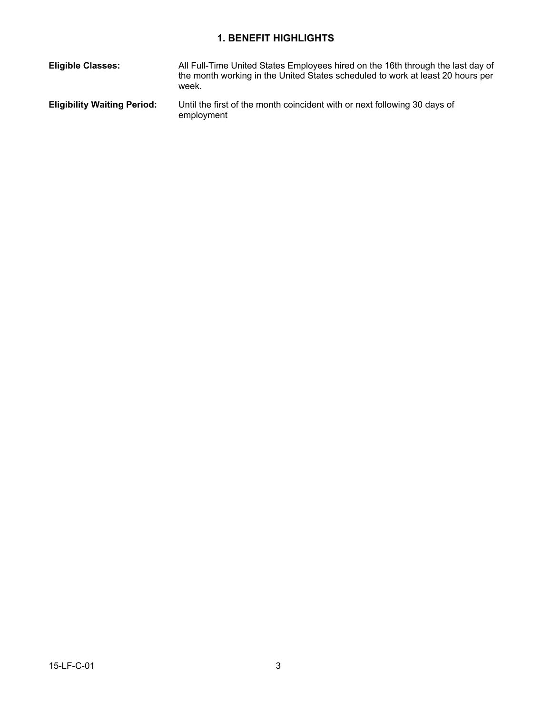# **1. BENEFIT HIGHLIGHTS**

| <b>Eligible Classes:</b>           | All Full-Time United States Employees hired on the 16th through the last day of<br>the month working in the United States scheduled to work at least 20 hours per<br>week. |
|------------------------------------|----------------------------------------------------------------------------------------------------------------------------------------------------------------------------|
| <b>Eligibility Waiting Period:</b> | Until the first of the month coincident with or next following 30 days of<br>employment                                                                                    |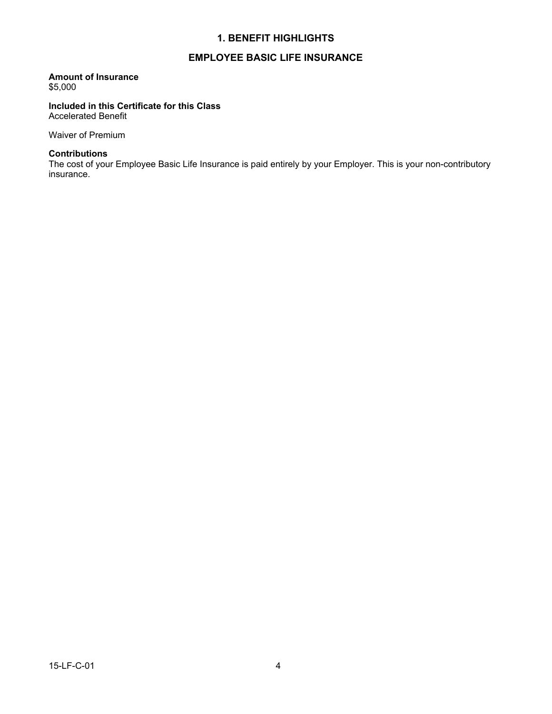### **1. BENEFIT HIGHLIGHTS**

### **EMPLOYEE BASIC LIFE INSURANCE**

### **Amount of Insurance**

\$5,000

#### **Included in this Certificate for this Class** Accelerated Benefit

Waiver of Premium

### **Contributions**

The cost of your Employee Basic Life Insurance is paid entirely by your Employer. This is your non-contributory insurance.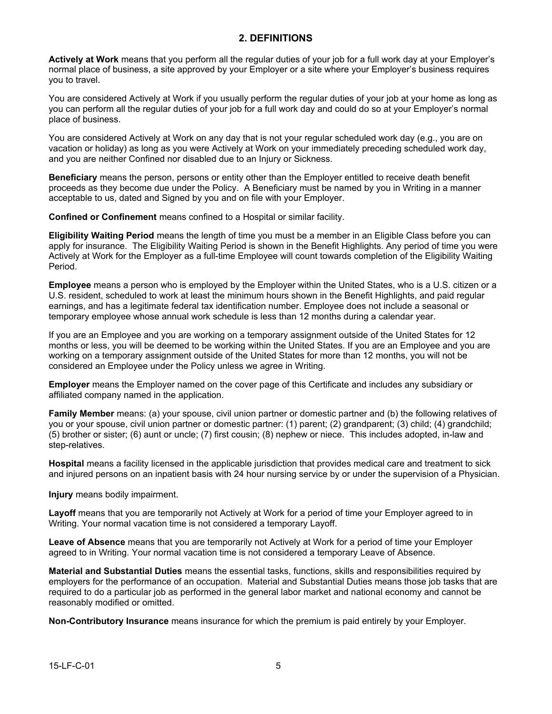### **2. DEFINITIONS**

**Actively at Work** means that you perform all the regular duties of your job for a full work day at your Employer's normal place of business, a site approved by your Employer or a site where your Employer's business requires you to travel.

You are considered Actively at Work if you usually perform the regular duties of your job at your home as long as you can perform all the regular duties of your job for a full work day and could do so at your Employer's normal place of business.

You are considered Actively at Work on any day that is not your regular scheduled work day (e.g., you are on vacation or holiday) as long as you were Actively at Work on your immediately preceding scheduled work day, and you are neither Confined nor disabled due to an Injury or Sickness.

**Beneficiary** means the person, persons or entity other than the Employer entitled to receive death benefit proceeds as they become due under the Policy. A Beneficiary must be named by you in Writing in a manner acceptable to us, dated and Signed by you and on file with your Employer.

**Confined or Confinement** means confined to a Hospital or similar facility.

**Eligibility Waiting Period** means the length of time you must be a member in an Eligible Class before you can apply for insurance. The Eligibility Waiting Period is shown in the Benefit Highlights. Any period of time you were Actively at Work for the Employer as a full-time Employee will count towards completion of the Eligibility Waiting Period.

**Employee** means a person who is employed by the Employer within the United States, who is a U.S. citizen or a U.S. resident, scheduled to work at least the minimum hours shown in the Benefit Highlights, and paid regular earnings, and has a legitimate federal tax identification number. Employee does not include a seasonal or temporary employee whose annual work schedule is less than 12 months during a calendar year.

If you are an Employee and you are working on a temporary assignment outside of the United States for 12 months or less, you will be deemed to be working within the United States. If you are an Employee and you are working on a temporary assignment outside of the United States for more than 12 months, you will not be considered an Employee under the Policy unless we agree in Writing.

**Employer** means the Employer named on the cover page of this Certificate and includes any subsidiary or affiliated company named in the application.

**Family Member** means: (a) your spouse, civil union partner or domestic partner and (b) the following relatives of you or your spouse, civil union partner or domestic partner: (1) parent; (2) grandparent; (3) child; (4) grandchild; (5) brother or sister; (6) aunt or uncle; (7) first cousin; (8) nephew or niece. This includes adopted, in-law and step-relatives.

**Hospital** means a facility licensed in the applicable jurisdiction that provides medical care and treatment to sick and injured persons on an inpatient basis with 24 hour nursing service by or under the supervision of a Physician.

**Injury** means bodily impairment.

**Layoff** means that you are temporarily not Actively at Work for a period of time your Employer agreed to in Writing. Your normal vacation time is not considered a temporary Layoff.

**Leave of Absence** means that you are temporarily not Actively at Work for a period of time your Employer agreed to in Writing. Your normal vacation time is not considered a temporary Leave of Absence.

**Material and Substantial Duties** means the essential tasks, functions, skills and responsibilities required by employers for the performance of an occupation. Material and Substantial Duties means those job tasks that are required to do a particular job as performed in the general labor market and national economy and cannot be reasonably modified or omitted.

**Non-Contributory Insurance** means insurance for which the premium is paid entirely by your Employer.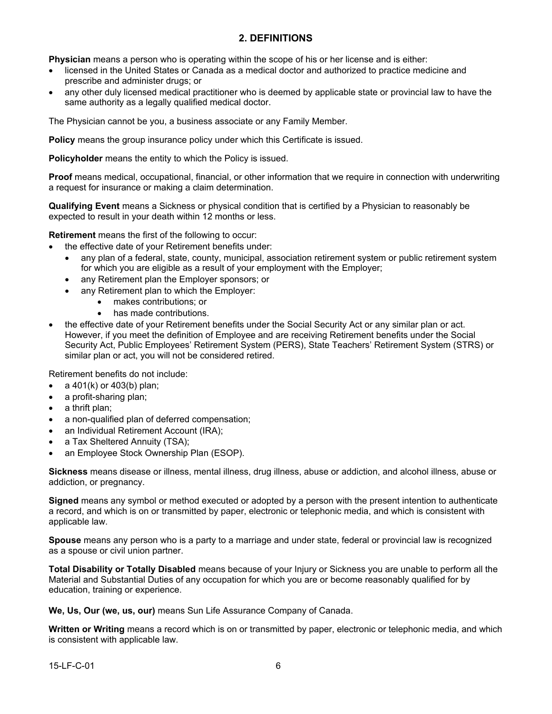### **2. DEFINITIONS**

**Physician** means a person who is operating within the scope of his or her license and is either:

- licensed in the United States or Canada as a medical doctor and authorized to practice medicine and prescribe and administer drugs; or
- any other duly licensed medical practitioner who is deemed by applicable state or provincial law to have the same authority as a legally qualified medical doctor.

The Physician cannot be you, a business associate or any Family Member.

**Policy** means the group insurance policy under which this Certificate is issued.

**Policyholder** means the entity to which the Policy is issued.

**Proof** means medical, occupational, financial, or other information that we require in connection with underwriting a request for insurance or making a claim determination.

**Qualifying Event** means a Sickness or physical condition that is certified by a Physician to reasonably be expected to result in your death within 12 months or less.

**Retirement** means the first of the following to occur:

- the effective date of your Retirement benefits under:
	- any plan of a federal, state, county, municipal, association retirement system or public retirement system for which you are eligible as a result of your employment with the Employer;
	- any Retirement plan the Employer sponsors; or
	- any Retirement plan to which the Employer:
		- · makes contributions; or
		- has made contributions.
- the effective date of your Retirement benefits under the Social Security Act or any similar plan or act. However, if you meet the definition of Employee and are receiving Retirement benefits under the Social Security Act, Public Employees' Retirement System (PERS), State Teachers' Retirement System (STRS) or similar plan or act, you will not be considered retired.

Retirement benefits do not include:

- · a 401(k) or 403(b) plan;
- a profit-sharing plan;
- a thrift plan:
- a non-qualified plan of deferred compensation;
- an Individual Retirement Account (IRA);
- a Tax Sheltered Annuity (TSA);
- an Employee Stock Ownership Plan (ESOP).

**Sickness** means disease or illness, mental illness, drug illness, abuse or addiction, and alcohol illness, abuse or addiction, or pregnancy.

**Signed** means any symbol or method executed or adopted by a person with the present intention to authenticate a record, and which is on or transmitted by paper, electronic or telephonic media, and which is consistent with applicable law.

**Spouse** means any person who is a party to a marriage and under state, federal or provincial law is recognized as a spouse or civil union partner.

**Total Disability or Totally Disabled** means because of your Injury or Sickness you are unable to perform all the Material and Substantial Duties of any occupation for which you are or become reasonably qualified for by education, training or experience.

**We, Us, Our (we, us, our)** means Sun Life Assurance Company of Canada.

**Written or Writing** means a record which is on or transmitted by paper, electronic or telephonic media, and which is consistent with applicable law.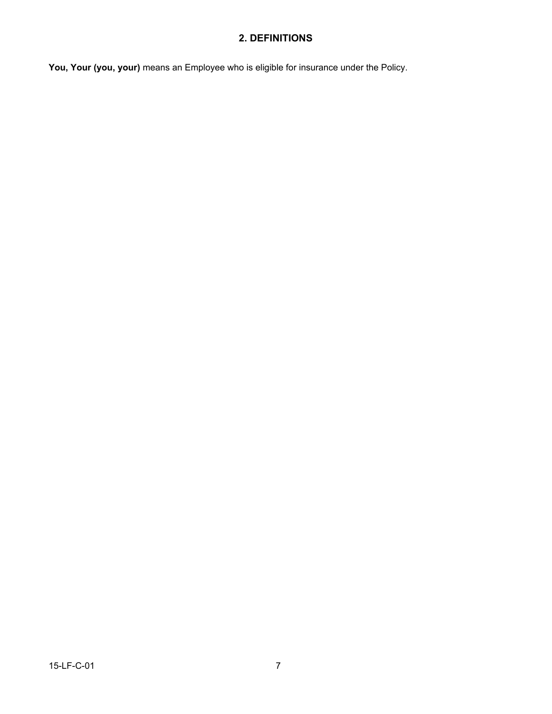## **2. DEFINITIONS**

**You, Your (you, your)** means an Employee who is eligible for insurance under the Policy.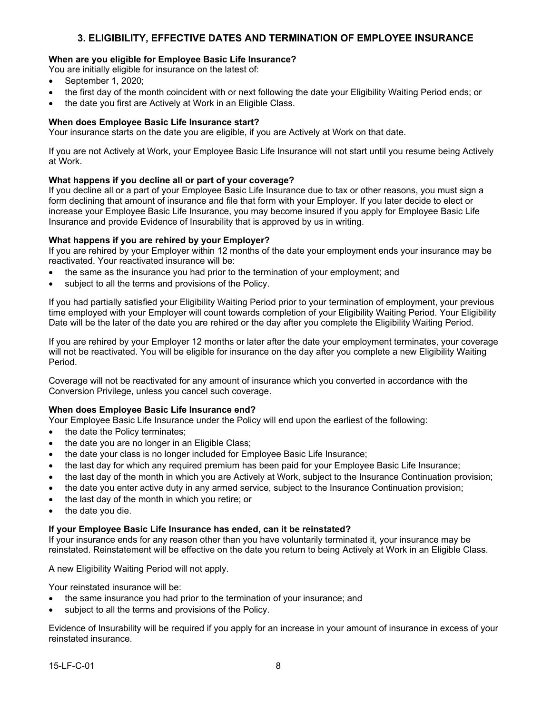### **3. ELIGIBILITY, EFFECTIVE DATES AND TERMINATION OF EMPLOYEE INSURANCE**

### **When are you eligible for Employee Basic Life Insurance?**

You are initially eligible for insurance on the latest of:

- · September 1, 2020;
- · the first day of the month coincident with or next following the date your Eligibility Waiting Period ends; or
- the date you first are Actively at Work in an Eligible Class.

### **When does Employee Basic Life Insurance start?**

Your insurance starts on the date you are eligible, if you are Actively at Work on that date.

If you are not Actively at Work, your Employee Basic Life Insurance will not start until you resume being Actively at Work.

### **What happens if you decline all or part of your coverage?**

If you decline all or a part of your Employee Basic Life Insurance due to tax or other reasons, you must sign a form declining that amount of insurance and file that form with your Employer. If you later decide to elect or increase your Employee Basic Life Insurance, you may become insured if you apply for Employee Basic Life Insurance and provide Evidence of Insurability that is approved by us in writing.

### **What happens if you are rehired by your Employer?**

If you are rehired by your Employer within 12 months of the date your employment ends your insurance may be reactivated. Your reactivated insurance will be:

- the same as the insurance you had prior to the termination of your employment; and
- subject to all the terms and provisions of the Policy.

If you had partially satisfied your Eligibility Waiting Period prior to your termination of employment, your previous time employed with your Employer will count towards completion of your Eligibility Waiting Period. Your Eligibility Date will be the later of the date you are rehired or the day after you complete the Eligibility Waiting Period.

If you are rehired by your Employer 12 months or later after the date your employment terminates, your coverage will not be reactivated. You will be eligible for insurance on the day after you complete a new Eligibility Waiting Period.

Coverage will not be reactivated for any amount of insurance which you converted in accordance with the Conversion Privilege, unless you cancel such coverage.

### **When does Employee Basic Life Insurance end?**

Your Employee Basic Life Insurance under the Policy will end upon the earliest of the following:

- the date the Policy terminates;
- the date you are no longer in an Eligible Class;
- · the date your class is no longer included for Employee Basic Life Insurance;
- · the last day for which any required premium has been paid for your Employee Basic Life Insurance;
- · the last day of the month in which you are Actively at Work, subject to the Insurance Continuation provision;
- · the date you enter active duty in any armed service, subject to the Insurance Continuation provision;
- the last day of the month in which you retire; or
- the date you die.

### **If your Employee Basic Life Insurance has ended, can it be reinstated?**

If your insurance ends for any reason other than you have voluntarily terminated it, your insurance may be reinstated. Reinstatement will be effective on the date you return to being Actively at Work in an Eligible Class.

### A new Eligibility Waiting Period will not apply.

Your reinstated insurance will be:

- the same insurance you had prior to the termination of your insurance; and
- subject to all the terms and provisions of the Policy.

Evidence of Insurability will be required if you apply for an increase in your amount of insurance in excess of your reinstated insurance.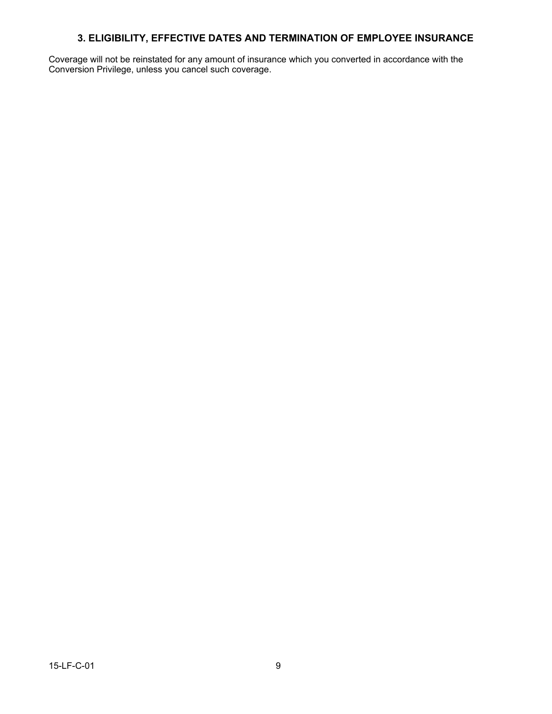## **3. ELIGIBILITY, EFFECTIVE DATES AND TERMINATION OF EMPLOYEE INSURANCE**

Coverage will not be reinstated for any amount of insurance which you converted in accordance with the Conversion Privilege, unless you cancel such coverage.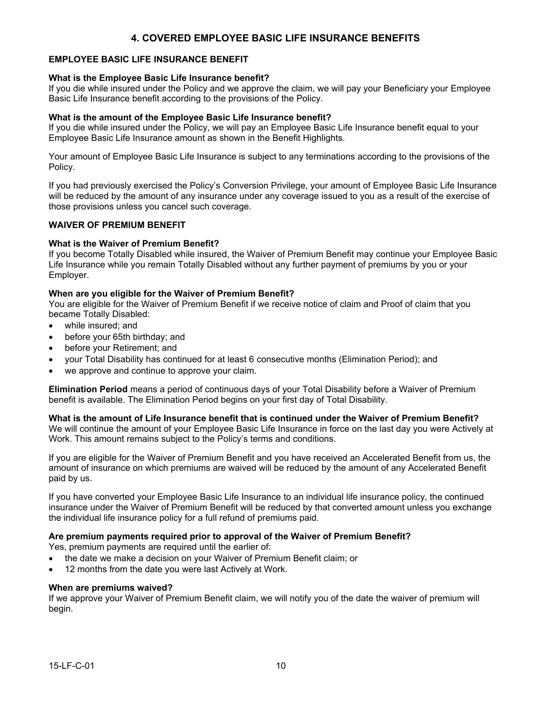### **EMPLOYEE BASIC LIFE INSURANCE BENEFIT**

### **What is the Employee Basic Life Insurance benefit?**

If you die while insured under the Policy and we approve the claim, we will pay your Beneficiary your Employee Basic Life Insurance benefit according to the provisions of the Policy.

#### **What is the amount of the Employee Basic Life Insurance benefit?**

If you die while insured under the Policy, we will pay an Employee Basic Life Insurance benefit equal to your Employee Basic Life Insurance amount as shown in the Benefit Highlights.

Your amount of Employee Basic Life Insurance is subject to any terminations according to the provisions of the Policy.

If you had previously exercised the Policy's Conversion Privilege, your amount of Employee Basic Life Insurance will be reduced by the amount of any insurance under any coverage issued to you as a result of the exercise of those provisions unless you cancel such coverage.

### **WAIVER OF PREMIUM BENEFIT**

#### **What is the Waiver of Premium Benefit?**

If you become Totally Disabled while insured, the Waiver of Premium Benefit may continue your Employee Basic Life Insurance while you remain Totally Disabled without any further payment of premiums by you or your Employer.

#### **When are you eligible for the Waiver of Premium Benefit?**

You are eligible for the Waiver of Premium Benefit if we receive notice of claim and Proof of claim that you became Totally Disabled:

- while insured; and
- before your 65th birthday; and
- before your Retirement; and
- · your Total Disability has continued for at least 6 consecutive months (Elimination Period); and
- we approve and continue to approve your claim.

**Elimination Period** means a period of continuous days of your Total Disability before a Waiver of Premium benefit is available. The Elimination Period begins on your first day of Total Disability.

**What is the amount of Life Insurance benefit that is continued under the Waiver of Premium Benefit?** We will continue the amount of your Employee Basic Life Insurance in force on the last day you were Actively at Work. This amount remains subject to the Policy's terms and conditions.

If you are eligible for the Waiver of Premium Benefit and you have received an Accelerated Benefit from us, the amount of insurance on which premiums are waived will be reduced by the amount of any Accelerated Benefit paid by us.

If you have converted your Employee Basic Life Insurance to an individual life insurance policy, the continued insurance under the Waiver of Premium Benefit will be reduced by that converted amount unless you exchange the individual life insurance policy for a full refund of premiums paid.

### **Are premium payments required prior to approval of the Waiver of Premium Benefit?**

Yes, premium payments are required until the earlier of:

- · the date we make a decision on your Waiver of Premium Benefit claim; or
- 12 months from the date you were last Actively at Work.

#### **When are premiums waived?**

If we approve your Waiver of Premium Benefit claim, we will notify you of the date the waiver of premium will begin.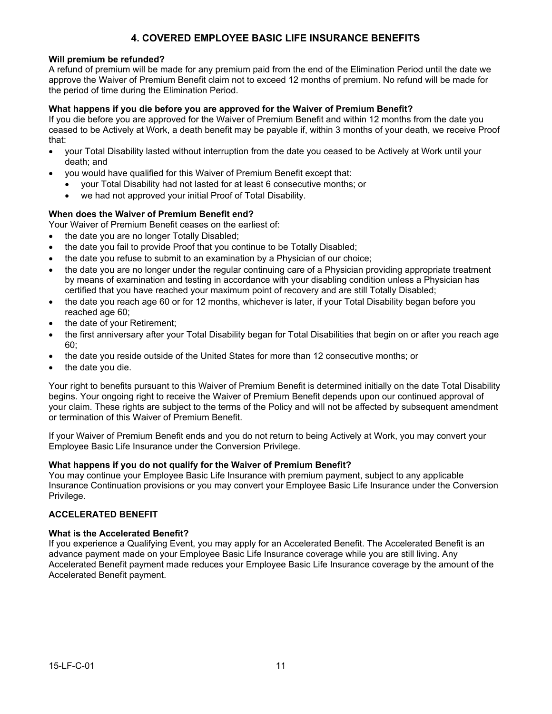### **Will premium be refunded?**

A refund of premium will be made for any premium paid from the end of the Elimination Period until the date we approve the Waiver of Premium Benefit claim not to exceed 12 months of premium. No refund will be made for the period of time during the Elimination Period.

### **What happens if you die before you are approved for the Waiver of Premium Benefit?**

If you die before you are approved for the Waiver of Premium Benefit and within 12 months from the date you ceased to be Actively at Work, a death benefit may be payable if, within 3 months of your death, we receive Proof that:

- · your Total Disability lasted without interruption from the date you ceased to be Actively at Work until your death; and
	- you would have qualified for this Waiver of Premium Benefit except that:
		- · your Total Disability had not lasted for at least 6 consecutive months; or
		- · we had not approved your initial Proof of Total Disability.

### **When does the Waiver of Premium Benefit end?**

Your Waiver of Premium Benefit ceases on the earliest of:

- the date you are no longer Totally Disabled;
- · the date you fail to provide Proof that you continue to be Totally Disabled;
- the date you refuse to submit to an examination by a Physician of our choice;
- · the date you are no longer under the regular continuing care of a Physician providing appropriate treatment by means of examination and testing in accordance with your disabling condition unless a Physician has certified that you have reached your maximum point of recovery and are still Totally Disabled;
- the date you reach age 60 or for 12 months, whichever is later, if your Total Disability began before you reached age 60;
- the date of your Retirement;
- · the first anniversary after your Total Disability began for Total Disabilities that begin on or after you reach age 60;
- · the date you reside outside of the United States for more than 12 consecutive months; or
- the date you die.

Your right to benefits pursuant to this Waiver of Premium Benefit is determined initially on the date Total Disability begins. Your ongoing right to receive the Waiver of Premium Benefit depends upon our continued approval of your claim. These rights are subject to the terms of the Policy and will not be affected by subsequent amendment or termination of this Waiver of Premium Benefit.

If your Waiver of Premium Benefit ends and you do not return to being Actively at Work, you may convert your Employee Basic Life Insurance under the Conversion Privilege.

### **What happens if you do not qualify for the Waiver of Premium Benefit?**

You may continue your Employee Basic Life Insurance with premium payment, subject to any applicable Insurance Continuation provisions or you may convert your Employee Basic Life Insurance under the Conversion Privilege.

### **ACCELERATED BENEFIT**

### **What is the Accelerated Benefit?**

If you experience a Qualifying Event, you may apply for an Accelerated Benefit. The Accelerated Benefit is an advance payment made on your Employee Basic Life Insurance coverage while you are still living. Any Accelerated Benefit payment made reduces your Employee Basic Life Insurance coverage by the amount of the Accelerated Benefit payment.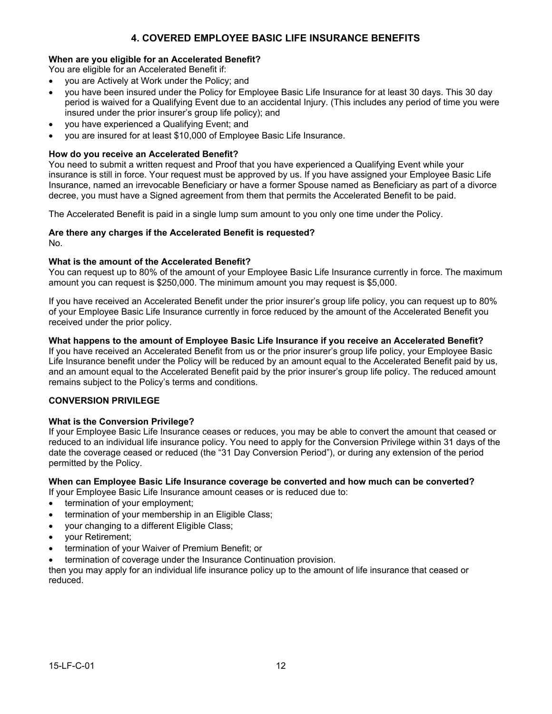### **When are you eligible for an Accelerated Benefit?**

You are eligible for an Accelerated Benefit if:

- · you are Actively at Work under the Policy; and
- · you have been insured under the Policy for Employee Basic Life Insurance for at least 30 days. This 30 day period is waived for a Qualifying Event due to an accidental Injury. (This includes any period of time you were insured under the prior insurer's group life policy); and
- · you have experienced a Qualifying Event; and
- · you are insured for at least \$10,000 of Employee Basic Life Insurance.

### **How do you receive an Accelerated Benefit?**

You need to submit a written request and Proof that you have experienced a Qualifying Event while your insurance is still in force. Your request must be approved by us. If you have assigned your Employee Basic Life Insurance, named an irrevocable Beneficiary or have a former Spouse named as Beneficiary as part of a divorce decree, you must have a Signed agreement from them that permits the Accelerated Benefit to be paid.

The Accelerated Benefit is paid in a single lump sum amount to you only one time under the Policy.

# **Are there any charges if the Accelerated Benefit is requested?**

No.

### **What is the amount of the Accelerated Benefit?**

You can request up to 80% of the amount of your Employee Basic Life Insurance currently in force. The maximum amount you can request is \$250,000. The minimum amount you may request is \$5,000.

If you have received an Accelerated Benefit under the prior insurer's group life policy, you can request up to 80% of your Employee Basic Life Insurance currently in force reduced by the amount of the Accelerated Benefit you received under the prior policy.

### **What happens to the amount of Employee Basic Life Insurance if you receive an Accelerated Benefit?**

If you have received an Accelerated Benefit from us or the prior insurer's group life policy, your Employee Basic Life Insurance benefit under the Policy will be reduced by an amount equal to the Accelerated Benefit paid by us, and an amount equal to the Accelerated Benefit paid by the prior insurer's group life policy. The reduced amount remains subject to the Policy's terms and conditions.

### **CONVERSION PRIVILEGE**

### **What is the Conversion Privilege?**

If your Employee Basic Life Insurance ceases or reduces, you may be able to convert the amount that ceased or reduced to an individual life insurance policy. You need to apply for the Conversion Privilege within 31 days of the date the coverage ceased or reduced (the "31 Day Conversion Period"), or during any extension of the period permitted by the Policy.

### **When can Employee Basic Life Insurance coverage be converted and how much can be converted?**

If your Employee Basic Life Insurance amount ceases or is reduced due to:

- termination of your employment;
- termination of your membership in an Eligible Class;
- · your changing to a different Eligible Class;
- · your Retirement;
- termination of your Waiver of Premium Benefit; or
- termination of coverage under the Insurance Continuation provision.

then you may apply for an individual life insurance policy up to the amount of life insurance that ceased or reduced.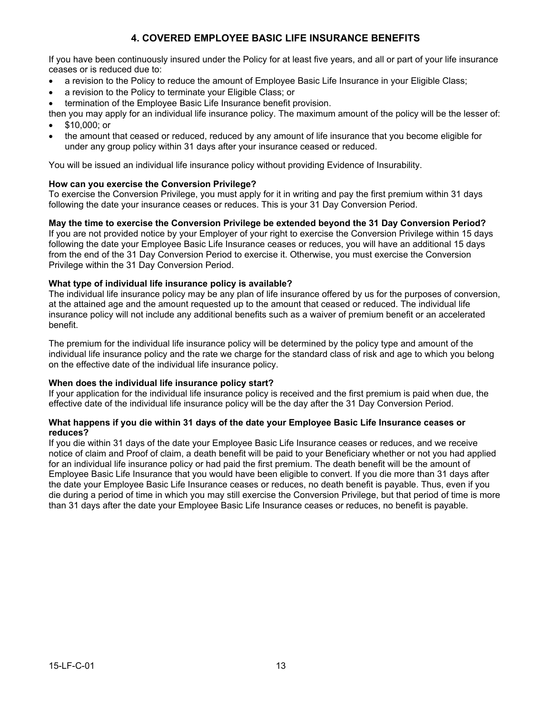If you have been continuously insured under the Policy for at least five years, and all or part of your life insurance ceases or is reduced due to:

- · a revision to the Policy to reduce the amount of Employee Basic Life Insurance in your Eligible Class;
- a revision to the Policy to terminate your Eligible Class; or
- termination of the Employee Basic Life Insurance benefit provision.
- then you may apply for an individual life insurance policy. The maximum amount of the policy will be the lesser of: · \$10,000; or
- the amount that ceased or reduced, reduced by any amount of life insurance that you become eligible for under any group policy within 31 days after your insurance ceased or reduced.

You will be issued an individual life insurance policy without providing Evidence of Insurability.

### **How can you exercise the Conversion Privilege?**

To exercise the Conversion Privilege, you must apply for it in writing and pay the first premium within 31 days following the date your insurance ceases or reduces. This is your 31 Day Conversion Period.

### **May the time to exercise the Conversion Privilege be extended beyond the 31 Day Conversion Period?**

If you are not provided notice by your Employer of your right to exercise the Conversion Privilege within 15 days following the date your Employee Basic Life Insurance ceases or reduces, you will have an additional 15 days from the end of the 31 Day Conversion Period to exercise it. Otherwise, you must exercise the Conversion Privilege within the 31 Day Conversion Period.

### **What type of individual life insurance policy is available?**

The individual life insurance policy may be any plan of life insurance offered by us for the purposes of conversion, at the attained age and the amount requested up to the amount that ceased or reduced. The individual life insurance policy will not include any additional benefits such as a waiver of premium benefit or an accelerated benefit.

The premium for the individual life insurance policy will be determined by the policy type and amount of the individual life insurance policy and the rate we charge for the standard class of risk and age to which you belong on the effective date of the individual life insurance policy.

### **When does the individual life insurance policy start?**

If your application for the individual life insurance policy is received and the first premium is paid when due, the effective date of the individual life insurance policy will be the day after the 31 Day Conversion Period.

### **What happens if you die within 31 days of the date your Employee Basic Life Insurance ceases or reduces?**

If you die within 31 days of the date your Employee Basic Life Insurance ceases or reduces, and we receive notice of claim and Proof of claim, a death benefit will be paid to your Beneficiary whether or not you had applied for an individual life insurance policy or had paid the first premium. The death benefit will be the amount of Employee Basic Life Insurance that you would have been eligible to convert. If you die more than 31 days after the date your Employee Basic Life Insurance ceases or reduces, no death benefit is payable. Thus, even if you die during a period of time in which you may still exercise the Conversion Privilege, but that period of time is more than 31 days after the date your Employee Basic Life Insurance ceases or reduces, no benefit is payable.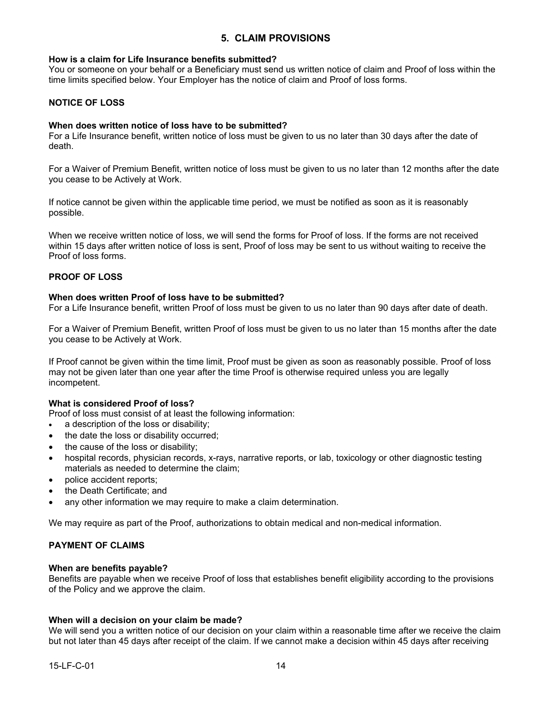### **5. CLAIM PROVISIONS**

#### **How is a claim for Life Insurance benefits submitted?**

You or someone on your behalf or a Beneficiary must send us written notice of claim and Proof of loss within the time limits specified below. Your Employer has the notice of claim and Proof of loss forms.

### **NOTICE OF LOSS**

### **When does written notice of loss have to be submitted?**

For a Life Insurance benefit, written notice of loss must be given to us no later than 30 days after the date of death.

For a Waiver of Premium Benefit, written notice of loss must be given to us no later than 12 months after the date you cease to be Actively at Work.

If notice cannot be given within the applicable time period, we must be notified as soon as it is reasonably possible.

When we receive written notice of loss, we will send the forms for Proof of loss. If the forms are not received within 15 days after written notice of loss is sent, Proof of loss may be sent to us without waiting to receive the Proof of loss forms.

### **PROOF OF LOSS**

#### **When does written Proof of loss have to be submitted?**

For a Life Insurance benefit, written Proof of loss must be given to us no later than 90 days after date of death.

For a Waiver of Premium Benefit, written Proof of loss must be given to us no later than 15 months after the date you cease to be Actively at Work.

If Proof cannot be given within the time limit, Proof must be given as soon as reasonably possible. Proof of loss may not be given later than one year after the time Proof is otherwise required unless you are legally incompetent.

#### **What is considered Proof of loss?**

Proof of loss must consist of at least the following information:

- a description of the loss or disability;
- the date the loss or disability occurred;
- the cause of the loss or disability;
- hospital records, physician records, x-rays, narrative reports, or lab, toxicology or other diagnostic testing materials as needed to determine the claim;
- police accident reports;
- the Death Certificate; and
- any other information we may require to make a claim determination.

We may require as part of the Proof, authorizations to obtain medical and non-medical information.

### **PAYMENT OF CLAIMS**

#### **When are benefits payable?**

Benefits are payable when we receive Proof of loss that establishes benefit eligibility according to the provisions of the Policy and we approve the claim.

### **When will a decision on your claim be made?**

We will send you a written notice of our decision on your claim within a reasonable time after we receive the claim but not later than 45 days after receipt of the claim. If we cannot make a decision within 45 days after receiving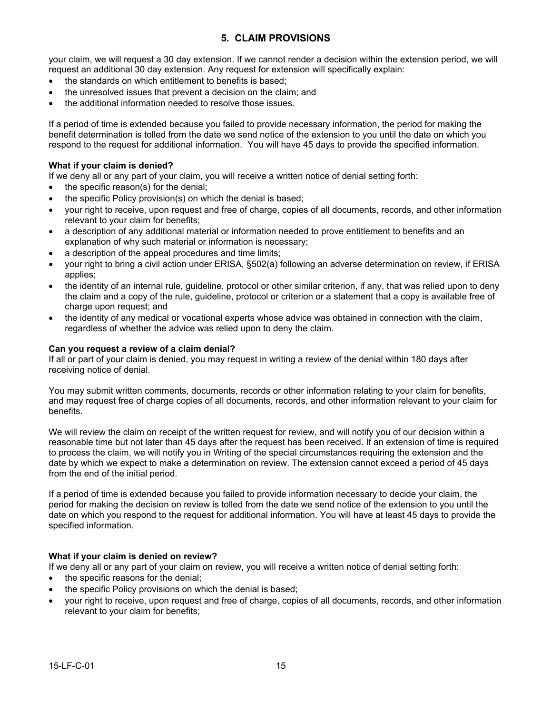### **5. CLAIM PROVISIONS**

your claim, we will request a 30 day extension. If we cannot render a decision within the extension period, we will request an additional 30 day extension. Any request for extension will specifically explain:

- · the standards on which entitlement to benefits is based;
- the unresolved issues that prevent a decision on the claim; and
- the additional information needed to resolve those issues.

If a period of time is extended because you failed to provide necessary information, the period for making the benefit determination is tolled from the date we send notice of the extension to you until the date on which you respond to the request for additional information. You will have 45 days to provide the specified information.

### **What if your claim is denied?**

If we deny all or any part of your claim, you will receive a written notice of denial setting forth:

- the specific reason(s) for the denial;
- the specific Policy provision(s) on which the denial is based;
- · your right to receive, upon request and free of charge, copies of all documents, records, and other information relevant to your claim for benefits;
- a description of any additional material or information needed to prove entitlement to benefits and an explanation of why such material or information is necessary;
- a description of the appeal procedures and time limits;
- · your right to bring a civil action under ERISA, §502(a) following an adverse determination on review, if ERISA applies;
- · the identity of an internal rule, guideline, protocol or other similar criterion, if any, that was relied upon to deny the claim and a copy of the rule, guideline, protocol or criterion or a statement that a copy is available free of charge upon request; and
- the identity of any medical or vocational experts whose advice was obtained in connection with the claim, regardless of whether the advice was relied upon to deny the claim.

### **Can you request a review of a claim denial?**

If all or part of your claim is denied, you may request in writing a review of the denial within 180 days after receiving notice of denial.

You may submit written comments, documents, records or other information relating to your claim for benefits, and may request free of charge copies of all documents, records, and other information relevant to your claim for benefits.

We will review the claim on receipt of the written request for review, and will notify you of our decision within a reasonable time but not later than 45 days after the request has been received. If an extension of time is required to process the claim, we will notify you in Writing of the special circumstances requiring the extension and the date by which we expect to make a determination on review. The extension cannot exceed a period of 45 days from the end of the initial period.

If a period of time is extended because you failed to provide information necessary to decide your claim, the period for making the decision on review is tolled from the date we send notice of the extension to you until the date on which you respond to the request for additional information. You will have at least 45 days to provide the specified information.

### **What if your claim is denied on review?**

If we deny all or any part of your claim on review, you will receive a written notice of denial setting forth:

- the specific reasons for the denial;
- the specific Policy provisions on which the denial is based;
- your right to receive, upon request and free of charge, copies of all documents, records, and other information relevant to your claim for benefits;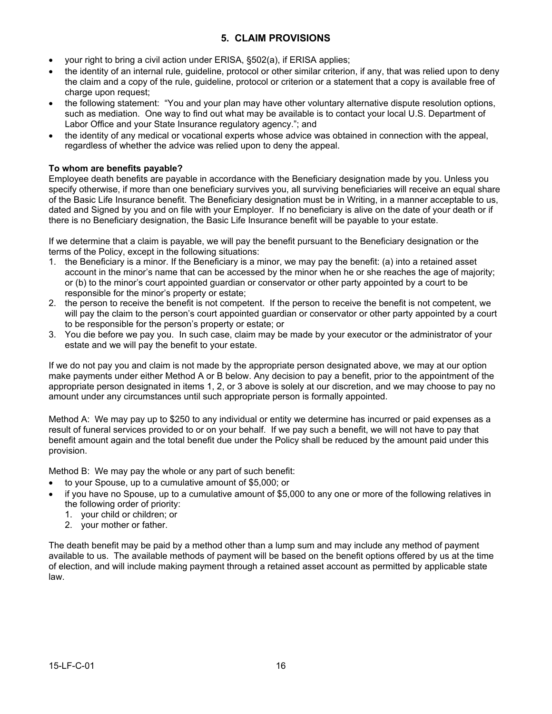### **5. CLAIM PROVISIONS**

- your right to bring a civil action under ERISA, §502(a), if ERISA applies;
- · the identity of an internal rule, guideline, protocol or other similar criterion, if any, that was relied upon to deny the claim and a copy of the rule, guideline, protocol or criterion or a statement that a copy is available free of charge upon request:
- · the following statement: "You and your plan may have other voluntary alternative dispute resolution options, such as mediation. One way to find out what may be available is to contact your local U.S. Department of Labor Office and your State Insurance regulatory agency."; and
- · the identity of any medical or vocational experts whose advice was obtained in connection with the appeal, regardless of whether the advice was relied upon to deny the appeal.

### **To whom are benefits payable?**

Employee death benefits are payable in accordance with the Beneficiary designation made by you. Unless you specify otherwise, if more than one beneficiary survives you, all surviving beneficiaries will receive an equal share of the Basic Life Insurance benefit. The Beneficiary designation must be in Writing, in a manner acceptable to us, dated and Signed by you and on file with your Employer. If no beneficiary is alive on the date of your death or if there is no Beneficiary designation, the Basic Life Insurance benefit will be payable to your estate.

If we determine that a claim is payable, we will pay the benefit pursuant to the Beneficiary designation or the terms of the Policy, except in the following situations:

- 1. the Beneficiary is a minor. If the Beneficiary is a minor, we may pay the benefit: (a) into a retained asset account in the minor's name that can be accessed by the minor when he or she reaches the age of majority; or (b) to the minor's court appointed guardian or conservator or other party appointed by a court to be responsible for the minor's property or estate;
- 2. the person to receive the benefit is not competent. If the person to receive the benefit is not competent, we will pay the claim to the person's court appointed guardian or conservator or other party appointed by a court to be responsible for the person's property or estate; or
- 3. You die before we pay you. In such case, claim may be made by your executor or the administrator of your estate and we will pay the benefit to your estate.

If we do not pay you and claim is not made by the appropriate person designated above, we may at our option make payments under either Method A or B below. Any decision to pay a benefit, prior to the appointment of the appropriate person designated in items 1, 2, or 3 above is solely at our discretion, and we may choose to pay no amount under any circumstances until such appropriate person is formally appointed.

Method A: We may pay up to \$250 to any individual or entity we determine has incurred or paid expenses as a result of funeral services provided to or on your behalf. If we pay such a benefit, we will not have to pay that benefit amount again and the total benefit due under the Policy shall be reduced by the amount paid under this provision.

Method B: We may pay the whole or any part of such benefit:

- · to your Spouse, up to a cumulative amount of \$5,000; or
- · if you have no Spouse, up to a cumulative amount of \$5,000 to any one or more of the following relatives in the following order of priority:
	- 1. your child or children; or
	- 2. your mother or father.

The death benefit may be paid by a method other than a lump sum and may include any method of payment available to us. The available methods of payment will be based on the benefit options offered by us at the time of election, and will include making payment through a retained asset account as permitted by applicable state law.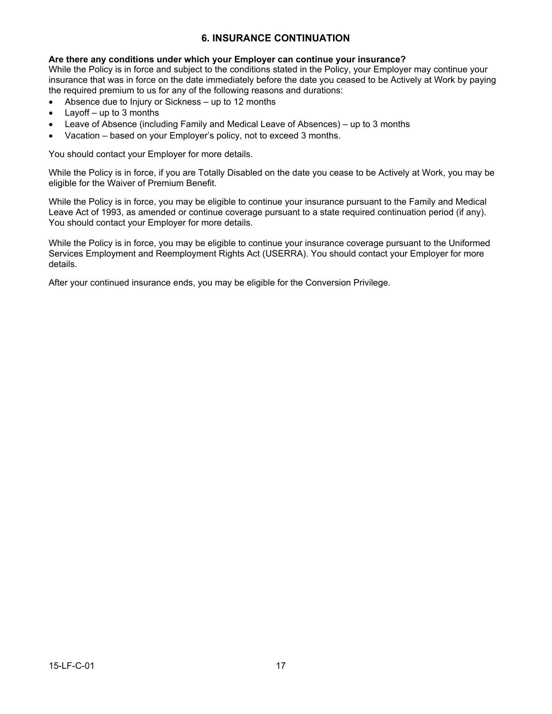### **6. INSURANCE CONTINUATION**

### **Are there any conditions under which your Employer can continue your insurance?**

While the Policy is in force and subject to the conditions stated in the Policy, your Employer may continue your insurance that was in force on the date immediately before the date you ceased to be Actively at Work by paying the required premium to us for any of the following reasons and durations:

- · Absence due to Injury or Sickness up to 12 months
- Layoff  $-$  up to 3 months
- Leave of Absence (including Family and Medical Leave of Absences) up to 3 months
- Vacation based on your Employer's policy, not to exceed 3 months.

You should contact your Employer for more details.

While the Policy is in force, if you are Totally Disabled on the date you cease to be Actively at Work, you may be eligible for the Waiver of Premium Benefit.

While the Policy is in force, you may be eligible to continue your insurance pursuant to the Family and Medical Leave Act of 1993, as amended or continue coverage pursuant to a state required continuation period (if any). You should contact your Employer for more details.

While the Policy is in force, you may be eligible to continue your insurance coverage pursuant to the Uniformed Services Employment and Reemployment Rights Act (USERRA). You should contact your Employer for more details.

After your continued insurance ends, you may be eligible for the Conversion Privilege.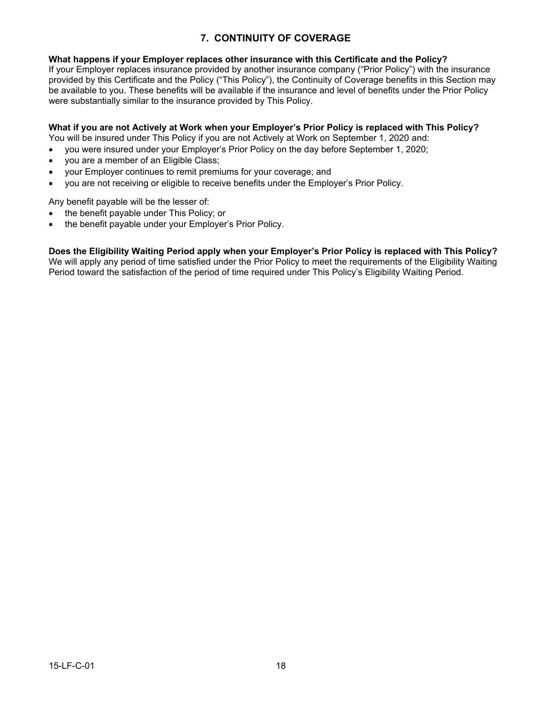### **7. CONTINUITY OF COVERAGE**

### **What happens if your Employer replaces other insurance with this Certificate and the Policy?**

If your Employer replaces insurance provided by another insurance company ("Prior Policy") with the insurance provided by this Certificate and the Policy ("This Policy"), the Continuity of Coverage benefits in this Section may be available to you. These benefits will be available if the insurance and level of benefits under the Prior Policy were substantially similar to the insurance provided by This Policy.

### **What if you are not Actively at Work when your Employer's Prior Policy is replaced with This Policy?**

You will be insured under This Policy if you are not Actively at Work on September 1, 2020 and:

- · you were insured under your Employer's Prior Policy on the day before September 1, 2020;
- you are a member of an Eligible Class;
- your Employer continues to remit premiums for your coverage; and
- · you are not receiving or eligible to receive benefits under the Employer's Prior Policy.

Any benefit payable will be the lesser of:

- the benefit payable under This Policy; or
- the benefit payable under your Employer's Prior Policy.

**Does the Eligibility Waiting Period apply when your Employer's Prior Policy is replaced with This Policy?** We will apply any period of time satisfied under the Prior Policy to meet the requirements of the Eligibility Waiting Period toward the satisfaction of the period of time required under This Policy's Eligibility Waiting Period.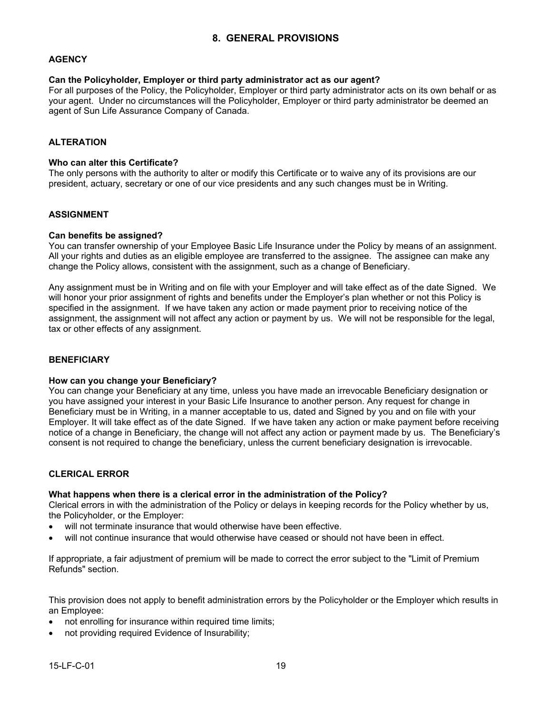### **AGENCY**

### **Can the Policyholder, Employer or third party administrator act as our agent?**

For all purposes of the Policy, the Policyholder, Employer or third party administrator acts on its own behalf or as your agent. Under no circumstances will the Policyholder, Employer or third party administrator be deemed an agent of Sun Life Assurance Company of Canada.

### **ALTERATION**

### **Who can alter this Certificate?**

The only persons with the authority to alter or modify this Certificate or to waive any of its provisions are our president, actuary, secretary or one of our vice presidents and any such changes must be in Writing.

### **ASSIGNMENT**

### **Can benefits be assigned?**

You can transfer ownership of your Employee Basic Life Insurance under the Policy by means of an assignment. All your rights and duties as an eligible employee are transferred to the assignee. The assignee can make any change the Policy allows, consistent with the assignment, such as a change of Beneficiary.

Any assignment must be in Writing and on file with your Employer and will take effect as of the date Signed. We will honor your prior assignment of rights and benefits under the Employer's plan whether or not this Policy is specified in the assignment. If we have taken any action or made payment prior to receiving notice of the assignment, the assignment will not affect any action or payment by us. We will not be responsible for the legal, tax or other effects of any assignment.

### **BENEFICIARY**

### **How can you change your Beneficiary?**

You can change your Beneficiary at any time, unless you have made an irrevocable Beneficiary designation or you have assigned your interest in your Basic Life Insurance to another person. Any request for change in Beneficiary must be in Writing, in a manner acceptable to us, dated and Signed by you and on file with your Employer. It will take effect as of the date Signed. If we have taken any action or make payment before receiving notice of a change in Beneficiary, the change will not affect any action or payment made by us. The Beneficiary's consent is not required to change the beneficiary, unless the current beneficiary designation is irrevocable.

### **CLERICAL ERROR**

### **What happens when there is a clerical error in the administration of the Policy?**

Clerical errors in with the administration of the Policy or delays in keeping records for the Policy whether by us, the Policyholder, or the Employer:

- will not terminate insurance that would otherwise have been effective.
- will not continue insurance that would otherwise have ceased or should not have been in effect.

If appropriate, a fair adjustment of premium will be made to correct the error subject to the "Limit of Premium Refunds" section.

This provision does not apply to benefit administration errors by the Policyholder or the Employer which results in an Employee:

- not enrolling for insurance within required time limits;
- not providing required Evidence of Insurability;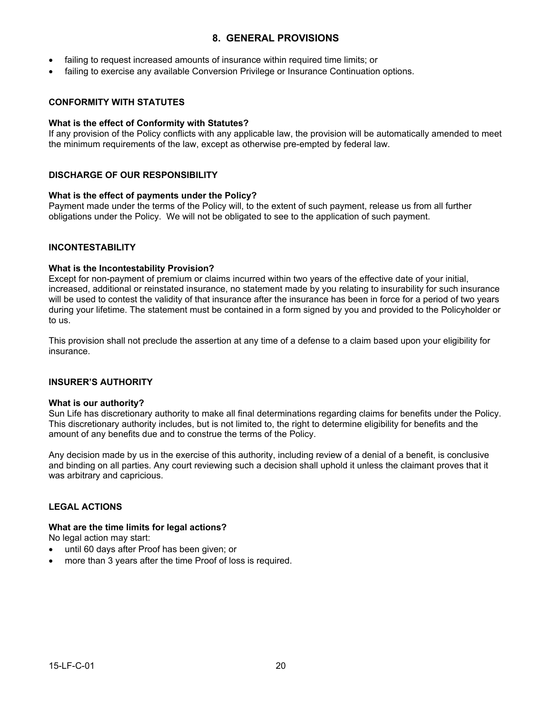### **8. GENERAL PROVISIONS**

- failing to request increased amounts of insurance within required time limits; or
- failing to exercise any available Conversion Privilege or Insurance Continuation options.

### **CONFORMITY WITH STATUTES**

#### **What is the effect of Conformity with Statutes?**

If any provision of the Policy conflicts with any applicable law, the provision will be automatically amended to meet the minimum requirements of the law, except as otherwise pre-empted by federal law.

### **DISCHARGE OF OUR RESPONSIBILITY**

### **What is the effect of payments under the Policy?**

Payment made under the terms of the Policy will, to the extent of such payment, release us from all further obligations under the Policy. We will not be obligated to see to the application of such payment.

### **INCONTESTABILITY**

#### **What is the Incontestability Provision?**

Except for non-payment of premium or claims incurred within two years of the effective date of your initial, increased, additional or reinstated insurance, no statement made by you relating to insurability for such insurance will be used to contest the validity of that insurance after the insurance has been in force for a period of two years during your lifetime. The statement must be contained in a form signed by you and provided to the Policyholder or to us.

This provision shall not preclude the assertion at any time of a defense to a claim based upon your eligibility for insurance.

### **INSURER'S AUTHORITY**

#### **What is our authority?**

Sun Life has discretionary authority to make all final determinations regarding claims for benefits under the Policy. This discretionary authority includes, but is not limited to, the right to determine eligibility for benefits and the amount of any benefits due and to construe the terms of the Policy.

Any decision made by us in the exercise of this authority, including review of a denial of a benefit, is conclusive and binding on all parties. Any court reviewing such a decision shall uphold it unless the claimant proves that it was arbitrary and capricious.

### **LEGAL ACTIONS**

### **What are the time limits for legal actions?**

No legal action may start:

- until 60 days after Proof has been given; or
- more than 3 years after the time Proof of loss is required.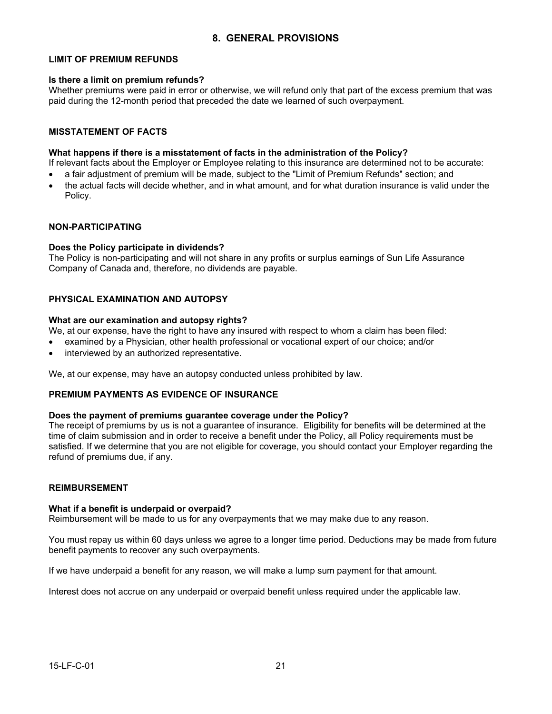### **8. GENERAL PROVISIONS**

### **LIMIT OF PREMIUM REFUNDS**

#### **Is there a limit on premium refunds?**

Whether premiums were paid in error or otherwise, we will refund only that part of the excess premium that was paid during the 12-month period that preceded the date we learned of such overpayment.

### **MISSTATEMENT OF FACTS**

#### **What happens if there is a misstatement of facts in the administration of the Policy?**

If relevant facts about the Employer or Employee relating to this insurance are determined not to be accurate:

- a fair adjustment of premium will be made, subject to the "Limit of Premium Refunds" section; and
- · the actual facts will decide whether, and in what amount, and for what duration insurance is valid under the Policy.

#### **NON-PARTICIPATING**

#### **Does the Policy participate in dividends?**

The Policy is non-participating and will not share in any profits or surplus earnings of Sun Life Assurance Company of Canada and, therefore, no dividends are payable.

### **PHYSICAL EXAMINATION AND AUTOPSY**

#### **What are our examination and autopsy rights?**

We, at our expense, have the right to have any insured with respect to whom a claim has been filed:

- · examined by a Physician, other health professional or vocational expert of our choice; and/or
- interviewed by an authorized representative.

We, at our expense, may have an autopsy conducted unless prohibited by law.

### **PREMIUM PAYMENTS AS EVIDENCE OF INSURANCE**

#### **Does the payment of premiums guarantee coverage under the Policy?**

The receipt of premiums by us is not a guarantee of insurance. Eligibility for benefits will be determined at the time of claim submission and in order to receive a benefit under the Policy, all Policy requirements must be satisfied. If we determine that you are not eligible for coverage, you should contact your Employer regarding the refund of premiums due, if any.

### **REIMBURSEMENT**

#### **What if a benefit is underpaid or overpaid?**

Reimbursement will be made to us for any overpayments that we may make due to any reason.

You must repay us within 60 days unless we agree to a longer time period. Deductions may be made from future benefit payments to recover any such overpayments.

If we have underpaid a benefit for any reason, we will make a lump sum payment for that amount.

Interest does not accrue on any underpaid or overpaid benefit unless required under the applicable law.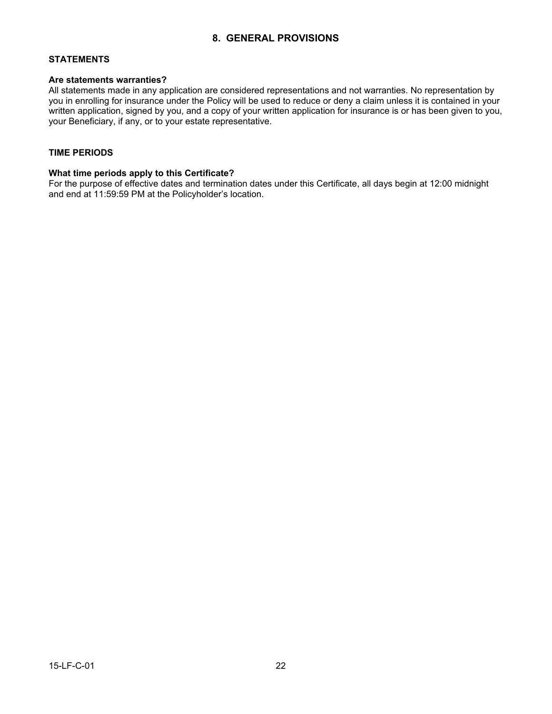### **8. GENERAL PROVISIONS**

### **STATEMENTS**

### **Are statements warranties?**

All statements made in any application are considered representations and not warranties. No representation by you in enrolling for insurance under the Policy will be used to reduce or deny a claim unless it is contained in your written application, signed by you, and a copy of your written application for insurance is or has been given to you, your Beneficiary, if any, or to your estate representative.

### **TIME PERIODS**

### **What time periods apply to this Certificate?**

For the purpose of effective dates and termination dates under this Certificate, all days begin at 12:00 midnight and end at 11:59:59 PM at the Policyholder's location.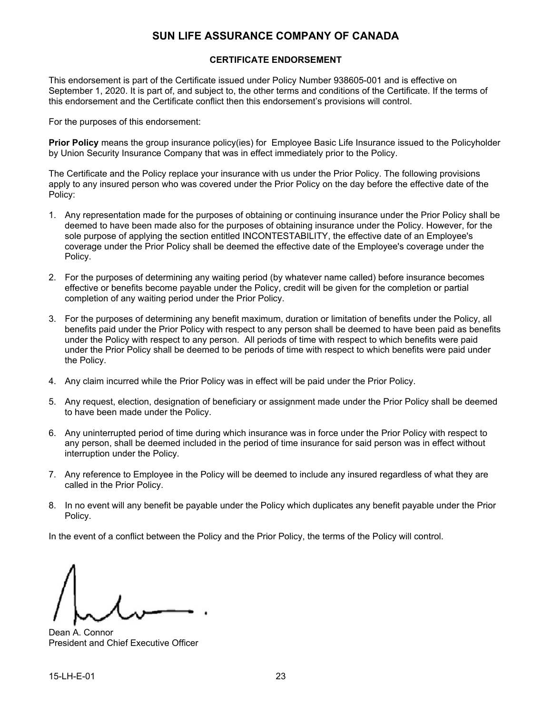### **SUN LIFE ASSURANCE COMPANY OF CANADA**

### **CERTIFICATE ENDORSEMENT**

This endorsement is part of the Certificate issued under Policy Number 938605-001 and is effective on September 1, 2020. It is part of, and subject to, the other terms and conditions of the Certificate. If the terms of this endorsement and the Certificate conflict then this endorsement's provisions will control.

For the purposes of this endorsement:

**Prior Policy** means the group insurance policy(ies) for Employee Basic Life Insurance issued to the Policyholder by Union Security Insurance Company that was in effect immediately prior to the Policy.

The Certificate and the Policy replace your insurance with us under the Prior Policy. The following provisions apply to any insured person who was covered under the Prior Policy on the day before the effective date of the Policy:

- 1. Any representation made for the purposes of obtaining or continuing insurance under the Prior Policy shall be deemed to have been made also for the purposes of obtaining insurance under the Policy. However, for the sole purpose of applying the section entitled INCONTESTABILITY, the effective date of an Employee's coverage under the Prior Policy shall be deemed the effective date of the Employee's coverage under the Policy.
- 2. For the purposes of determining any waiting period (by whatever name called) before insurance becomes effective or benefits become payable under the Policy, credit will be given for the completion or partial completion of any waiting period under the Prior Policy.
- 3. For the purposes of determining any benefit maximum, duration or limitation of benefits under the Policy, all benefits paid under the Prior Policy with respect to any person shall be deemed to have been paid as benefits under the Policy with respect to any person. All periods of time with respect to which benefits were paid under the Prior Policy shall be deemed to be periods of time with respect to which benefits were paid under the Policy.
- 4. Any claim incurred while the Prior Policy was in effect will be paid under the Prior Policy.
- 5. Any request, election, designation of beneficiary or assignment made under the Prior Policy shall be deemed to have been made under the Policy.
- 6. Any uninterrupted period of time during which insurance was in force under the Prior Policy with respect to any person, shall be deemed included in the period of time insurance for said person was in effect without interruption under the Policy.
- 7. Any reference to Employee in the Policy will be deemed to include any insured regardless of what they are called in the Prior Policy.
- 8. In no event will any benefit be payable under the Policy which duplicates any benefit payable under the Prior Policy.

In the event of a conflict between the Policy and the Prior Policy, the terms of the Policy will control.

Dean A. Connor President and Chief Executive Officer